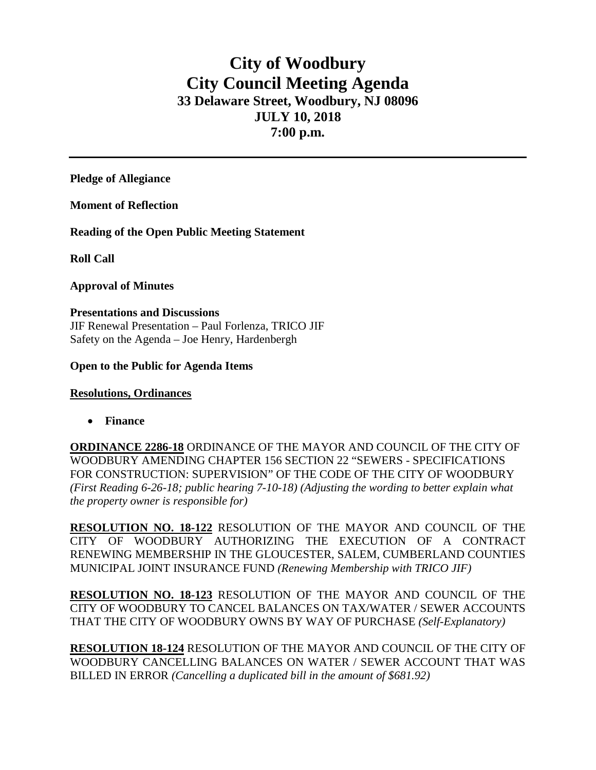# **City of Woodbury City Council Meeting Agenda 33 Delaware Street, Woodbury, NJ 08096 JULY 10, 2018 7:00 p.m.**

**Pledge of Allegiance**

**Moment of Reflection**

**Reading of the Open Public Meeting Statement**

**Roll Call**

### **Approval of Minutes**

**Presentations and Discussions** JIF Renewal Presentation – Paul Forlenza, TRICO JIF Safety on the Agenda – Joe Henry, Hardenbergh

### **Open to the Public for Agenda Items**

## **Resolutions, Ordinances**

• **Finance** 

**ORDINANCE 2286-18** ORDINANCE OF THE MAYOR AND COUNCIL OF THE CITY OF WOODBURY AMENDING CHAPTER 156 SECTION 22 "SEWERS - SPECIFICATIONS FOR CONSTRUCTION: SUPERVISION" OF THE CODE OF THE CITY OF WOODBURY *(First Reading 6-26-18; public hearing 7-10-18) (Adjusting the wording to better explain what the property owner is responsible for)*

**RESOLUTION NO. 18-122** RESOLUTION OF THE MAYOR AND COUNCIL OF THE CITY OF WOODBURY AUTHORIZING THE EXECUTION OF A CONTRACT RENEWING MEMBERSHIP IN THE GLOUCESTER, SALEM, CUMBERLAND COUNTIES MUNICIPAL JOINT INSURANCE FUND *(Renewing Membership with TRICO JIF)*

**RESOLUTION NO. 18-123** RESOLUTION OF THE MAYOR AND COUNCIL OF THE CITY OF WOODBURY TO CANCEL BALANCES ON TAX/WATER / SEWER ACCOUNTS THAT THE CITY OF WOODBURY OWNS BY WAY OF PURCHASE *(Self-Explanatory)*

**RESOLUTION 18-124** RESOLUTION OF THE MAYOR AND COUNCIL OF THE CITY OF WOODBURY CANCELLING BALANCES ON WATER / SEWER ACCOUNT THAT WAS BILLED IN ERROR *(Cancelling a duplicated bill in the amount of \$681.92)*